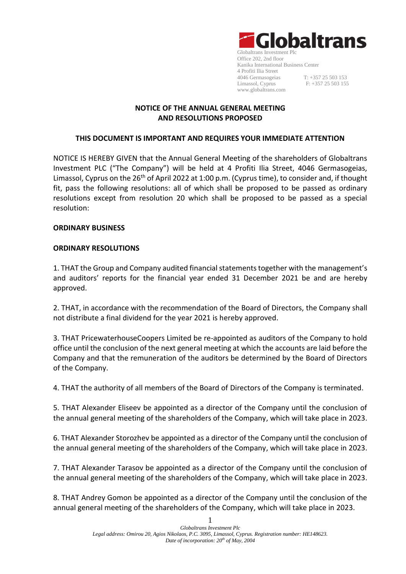

# **NOTICE OF THE ANNUAL GENERAL MEETING AND RESOLUTIONS PROPOSED**

## **THIS DOCUMENT IS IMPORTANT AND REQUIRES YOUR IMMEDIATE ATTENTION**

NOTICE IS HEREBY GIVEN that the Annual General Meeting of the shareholders of Globaltrans Investment PLC ("The Company") will be held at 4 Profiti Ilia Street, 4046 Germasogeias, Limassol, Cyprus on the 26<sup>th</sup> of April 2022 at 1:00 p.m. (Cyprus time), to consider and, if thought fit, pass the following resolutions: all of which shall be proposed to be passed as ordinary resolutions except from resolution 20 which shall be proposed to be passed as a special resolution:

## **ORDINARY BUSINESS**

## **ORDINARY RESOLUTIONS**

1. THAT the Group and Company audited financial statements together with the management's and auditors' reports for the financial year ended 31 December 2021 be and are hereby approved.

2. THAT, in accordance with the recommendation of the Board of Directors, the Company shall not distribute a final dividend for the year 2021 is hereby approved.

3. THAT PricewaterhouseCoopers Limited be re-appointed as auditors of the Company to hold office until the conclusion of the next general meeting at which the accounts are laid before the Company and that the remuneration of the auditors be determined by the Board of Directors of the Company.

4. THAT the authority of all members of the Board of Directors of the Company is terminated.

5. THAT Alexander Eliseev be appointed as a director of the Company until the conclusion of the annual general meeting of the shareholders of the Company, which will take place in 2023.

6. THAT Alexander Storozhev be appointed as a director of the Company until the conclusion of the annual general meeting of the shareholders of the Company, which will take place in 2023.

7. THAT Alexander Tarasov be appointed as a director of the Company until the conclusion of the annual general meeting of the shareholders of the Company, which will take place in 2023.

8. THAT Andrey Gomon be appointed as a director of the Company until the conclusion of the annual general meeting of the shareholders of the Company, which will take place in 2023.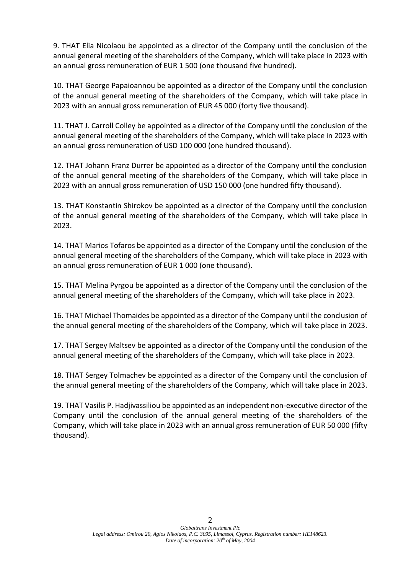9. THAT Elia Nicolaou be appointed as a director of the Company until the conclusion of the annual general meeting of the shareholders of the Company, which will take place in 2023 with an annual gross remuneration of EUR 1 500 (one thousand five hundred).

10. THAT George Papaioannou be appointed as a director of the Company until the conclusion of the annual general meeting of the shareholders of the Company, which will take place in 2023 with an annual gross remuneration of EUR 45 000 (forty five thousand).

11. THAT J. Carroll Colley be appointed as a director of the Company until the conclusion of the annual general meeting of the shareholders of the Company, which will take place in 2023 with an annual gross remuneration of USD 100 000 (one hundred thousand).

12. THAT Johann Franz Durrer be appointed as a director of the Company until the conclusion of the annual general meeting of the shareholders of the Company, which will take place in 2023 with an annual gross remuneration of USD 150 000 (one hundred fifty thousand).

13. THAT Konstantin Shirokov be appointed as a director of the Company until the conclusion of the annual general meeting of the shareholders of the Company, which will take place in 2023.

14. THAT Marios Tofaros be appointed as a director of the Company until the conclusion of the annual general meeting of the shareholders of the Company, which will take place in 2023 with an annual gross remuneration of EUR 1 000 (one thousand).

15. THAT Melina Pyrgou be appointed as a director of the Company until the conclusion of the annual general meeting of the shareholders of the Company, which will take place in 2023.

16. THAT Michael Thomaides be appointed as a director of the Company until the conclusion of the annual general meeting of the shareholders of the Company, which will take place in 2023.

17. THAT Sergey Maltsev be appointed as a director of the Company until the conclusion of the annual general meeting of the shareholders of the Company, which will take place in 2023.

18. THAT Sergey Tolmachev be appointed as a director of the Company until the conclusion of the annual general meeting of the shareholders of the Company, which will take place in 2023.

19. THAT Vasilis P. Hadjivassiliou be appointed as an independent non-executive director of the Company until the conclusion of the annual general meeting of the shareholders of the Company, which will take place in 2023 with an annual gross remuneration of EUR 50 000 (fifty thousand).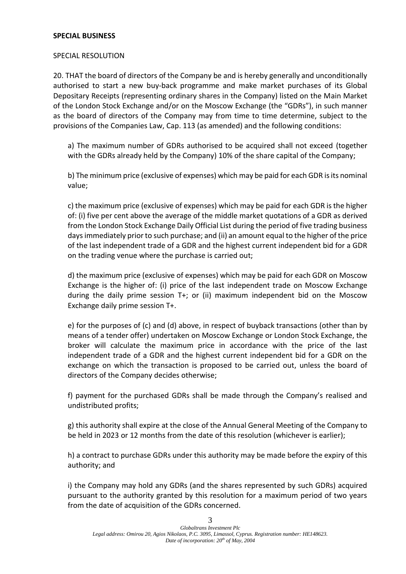#### **SPECIAL BUSINESS**

## SPECIAL RESOLUTION

20. THAT the board of directors of the Company be and is hereby generally and unconditionally authorised to start a new buy-back programme and make market purchases of its Global Depositary Receipts (representing ordinary shares in the Company) listed on the Main Market of the London Stock Exchange and/or on the Moscow Exchange (the "GDRs"), in such manner as the board of directors of the Company may from time to time determine, subject to the provisions of the Companies Law, Cap. 113 (as amended) and the following conditions:

a) The maximum number of GDRs authorised to be acquired shall not exceed (together with the GDRs already held by the Company) 10% of the share capital of the Company;

b) The minimum price (exclusive of expenses) which may be paid for each GDR is its nominal value;

c) the maximum price (exclusive of expenses) which may be paid for each GDR is the higher of: (i) five per cent above the average of the middle market quotations of a GDR as derived from the London Stock Exchange Daily Official List during the period of five trading business days immediately prior to such purchase; and (ii) an amount equal to the higher of the price of the last independent trade of a GDR and the highest current independent bid for a GDR on the trading venue where the purchase is carried out;

d) the maximum price (exclusive of expenses) which may be paid for each GDR on Moscow Exchange is the higher of: (i) price of the last independent trade on Moscow Exchange during the daily prime session T+; or (ii) maximum independent bid on the Moscow Exchange daily prime session T+.

e) for the purposes of (c) and (d) above, in respect of buyback transactions (other than by means of a tender offer) undertaken on Moscow Exchange or London Stock Exchange, the broker will calculate the maximum price in accordance with the price of the last independent trade of a GDR and the highest current independent bid for a GDR on the exchange on which the transaction is proposed to be carried out, unless the board of directors of the Company decides otherwise;

f) payment for the purchased GDRs shall be made through the Company's realised and undistributed profits;

g) this authority shall expire at the close of the Annual General Meeting of the Company to be held in 2023 or 12 months from the date of this resolution (whichever is earlier);

h) a contract to purchase GDRs under this authority may be made before the expiry of this authority; and

i) the Company may hold any GDRs (and the shares represented by such GDRs) acquired pursuant to the authority granted by this resolution for a maximum period of two years from the date of acquisition of the GDRs concerned.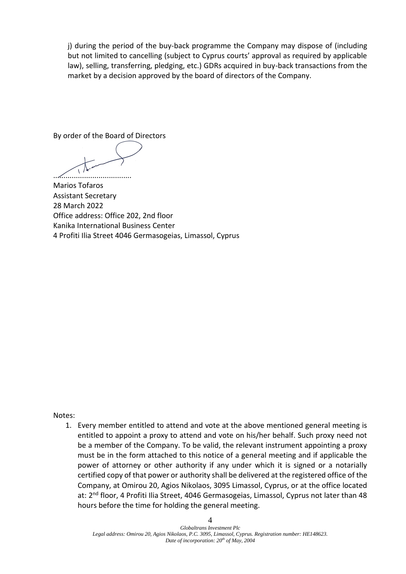j) during the period of the buy-back programme the Company may dispose of (including but not limited to cancelling (subject to Cyprus courts' approval as required by applicable law), selling, transferring, pledging, etc.) GDRs acquired in buy-back transactions from the market by a decision approved by the board of directors of the Company.

By order of the Board of Directors

......................................

Marios Tofaros Assistant Secretary 28 March 2022 Office address: Office 202, 2nd floor Kanika International Business Center 4 Profiti Ilia Street 4046 Germasogeias, Limassol, Cyprus

Notes:

1. Every member entitled to attend and vote at the above mentioned general meeting is entitled to appoint a proxy to attend and vote on his/her behalf. Such proxy need not be a member of the Company. To be valid, the relevant instrument appointing a proxy must be in the form attached to this notice of a general meeting and if applicable the power of attorney or other authority if any under which it is signed or a notarially certified copy of that power or authority shall be delivered at the registered office of the Company, at Omirou 20, Agios Nikolaos, 3095 Limassol, Cyprus, or at the office located at: 2<sup>nd</sup> floor, 4 Profiti Ilia Street, 4046 Germasogeias, Limassol, Cyprus not later than 48 hours before the time for holding the general meeting.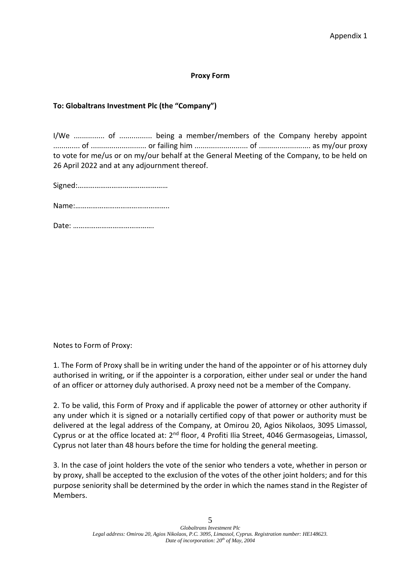## **Proxy Form**

# **To: Globaltrans Investment Plc (the "Company")**

I/We ............... of ................ being a member/members of the Company hereby appoint ............. of ........................... or failing him .......................... of ......................... as my/our proxy to vote for me/us or on my/our behalf at the General Meeting of the Company, to be held on 26 April 2022 and at any adjournment thereof.

Signed:…………………………………………

Name:…………………………………………..

Date: …………………………………….

Notes to Form of Proxy:

1. The Form of Proxy shall be in writing under the hand of the appointer or of his attorney duly authorised in writing, or if the appointer is a corporation, either under seal or under the hand of an officer or attorney duly authorised. A proxy need not be a member of the Company.

2. To be valid, this Form of Proxy and if applicable the power of attorney or other authority if any under which it is signed or a notarially certified copy of that power or authority must be delivered at the legal address of the Company, at Omirou 20, Agios Nikolaos, 3095 Limassol, Cyprus or at the office located at: 2<sup>nd</sup> floor, 4 Profiti Ilia Street, 4046 Germasogeias, Limassol, Cyprus not later than 48 hours before the time for holding the general meeting.

3. In the case of joint holders the vote of the senior who tenders a vote, whether in person or by proxy, shall be accepted to the exclusion of the votes of the other joint holders; and for this purpose seniority shall be determined by the order in which the names stand in the Register of Members.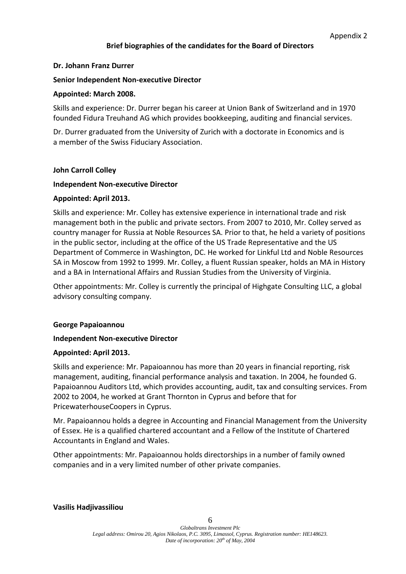# **Brief biographies of the candidates for the Board of Directors**

## **Dr. Johann Franz Durrer**

## **Senior Independent Non-executive Director**

#### **Appointed: March 2008.**

Skills and experience: Dr. Durrer began his career at Union Bank of Switzerland and in 1970 founded Fidura Treuhand AG which provides bookkeeping, auditing and financial services.

Dr. Durrer graduated from the University of Zurich with a doctorate in Economics and is a member of the Swiss Fiduciary Association.

## **John Carroll Colley**

## **Independent Non-executive Director**

## **Appointed: April 2013.**

Skills and experience: Mr. Colley has extensive experience in international trade and risk management both in the public and private sectors. From 2007 to 2010, Mr. Colley served as country manager for Russia at Noble Resources SA. Prior to that, he held a variety of positions in the public sector, including at the office of the US Trade Representative and the US Department of Commerce in Washington, DC. He worked for Linkful Ltd and Noble Resources SA in Moscow from 1992 to 1999. Mr. Colley, a fluent Russian speaker, holds an MA in History and a BA in International Affairs and Russian Studies from the University of Virginia.

Other appointments: Mr. Colley is currently the principal of Highgate Consulting LLC, a global advisory consulting company.

#### **George Papaioannou**

# **Independent Non-executive Director**

#### **Appointed: April 2013.**

Skills and experience: Mr. Papaioannou has more than 20 years in financial reporting, risk management, auditing, financial performance analysis and taxation. In 2004, he founded G. Papaioannou Auditors Ltd, which provides accounting, audit, tax and consulting services. From 2002 to 2004, he worked at Grant Thornton in Cyprus and before that for PricewaterhouseCoopers in Cyprus.

Mr. Papaioannou holds a degree in Accounting and Financial Management from the University of Essex. He is a qualified chartered accountant and a Fellow of the Institute of Chartered Accountants in England and Wales.

Other appointments: Mr. Papaioannou holds directorships in a number of family owned companies and in a very limited number of other private companies.

#### **Vasilis Hadjivassiliou**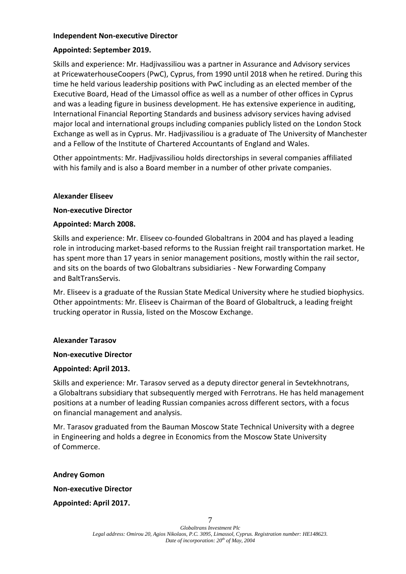## **Independent Non-executive Director**

# **Appointed: September 2019.**

Skills and experience: Mr. Hadjivassiliou was a partner in Assurance and Advisory services at PricewaterhouseCoopers (PwC), Cyprus, from 1990 until 2018 when he retired. During this time he held various leadership positions with PwC including as an elected member of the Executive Board, Head of the Limassol office as well as a number of other offices in Cyprus and was a leading figure in business development. He has extensive experience in auditing, International Financial Reporting Standards and business advisory services having advised major local and international groups including companies publicly listed on the London Stock Exchange as well as in Cyprus. Mr. Hadjivassiliou is a graduate of The University of Manchester and a Fellow of the Institute of Chartered Accountants of England and Wales.

Other appointments: Mr. Hadjivassiliou holds directorships in several companies affiliated with his family and is also a Board member in a number of other private companies.

## **Alexander Eliseev**

# **Non-executive Director**

# **Appointed: March 2008.**

Skills and experience: Mr. Eliseev co-founded Globaltrans in 2004 and has played a leading role in introducing market-based reforms to the Russian freight rail transportation market. He has spent more than 17 years in senior management positions, mostly within the rail sector, and sits on the boards of two Globaltrans subsidiaries - New Forwarding Company and BaltTransServis.

Mr. Eliseev is a graduate of the Russian State Medical University where he studied biophysics. Other appointments: Mr. Eliseev is Chairman of the Board of Globaltruck, a leading freight trucking operator in Russia, listed on the Moscow Exchange.

# **Alexander Tarasov**

#### **Non-executive Director**

# **Appointed: April 2013.**

Skills and experience: Mr. Tarasov served as a deputy director general in Sevtekhnotrans, a Globaltrans subsidiary that subsequently merged with Ferrotrans. He has held management positions at a number of leading Russian companies across different sectors, with a focus on financial management and analysis.

Mr. Tarasov graduated from the Bauman Moscow State Technical University with a degree in Engineering and holds a degree in Economics from the Moscow State University of Commerce.

**Andrey Gomon**

**Non-executive Director**

**Appointed: April 2017.**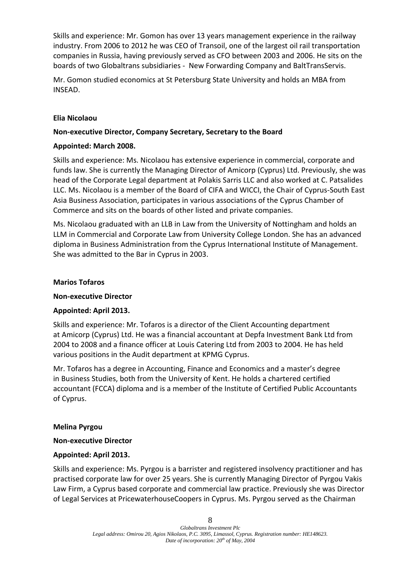Skills and experience: Mr. Gomon has over 13 years management experience in the railway industry. From 2006 to 2012 he was CEO of Transoil, one of the largest oil rail transportation companies in Russia, having previously served as CFO between 2003 and 2006. He sits on the boards of two Globaltrans subsidiaries - New Forwarding Company and BaltTransServis.

Mr. Gomon studied economics at St Petersburg State University and holds an MBA from INSEAD.

# **Elia Nicolaou**

# **Non-executive Director, Company Secretary, Secretary to the Board**

# **Appointed: March 2008.**

Skills and experience: Ms. Nicolaou has extensive experience in commercial, corporate and funds law. She is currently the Managing Director of Amicorp (Cyprus) Ltd. Previously, she was head of the Corporate Legal department at Polakis Sarris LLC and also worked at C. Patsalides LLC. Ms. Nicolaou is a member of the Board of CIFA and WICCI, the Chair of Cyprus-South East Asia Business Association, participates in various associations of the Cyprus Chamber of Commerce and sits on the boards of other listed and private companies.

Ms. Nicolaou graduated with an LLB in Law from the University of Nottingham and holds an LLM in Commercial and Corporate Law from University College London. She has an advanced diploma in Business Administration from the Cyprus International Institute of Management. She was admitted to the Bar in Cyprus in 2003.

# **Marios Tofaros**

# **Non-executive Director**

# **Appointed: April 2013.**

Skills and experience: Mr. Tofaros is a director of the Client Accounting department at Amicorp (Cyprus) Ltd. He was a financial accountant at Depfa Investment Bank Ltd from 2004 to 2008 and a finance officer at Louis Catering Ltd from 2003 to 2004. He has held various positions in the Audit department at KPMG Cyprus.

Mr. Tofaros has a degree in Accounting, Finance and Economics and a master's degree in Business Studies, both from the University of Kent. He holds a chartered certified accountant (FCCA) diploma and is a member of the Institute of Certified Public Accountants of Cyprus.

# **Melina Pyrgou**

# **Non-executive Director**

# **Appointed: April 2013.**

Skills and experience: Ms. Pyrgou is a barrister and registered insolvency practitioner and has practised corporate law for over 25 years. She is currently Managing Director of Pyrgou Vakis Law Firm, a Cyprus based corporate and commercial law practice. Previously she was Director of Legal Services at PricewaterhouseCoopers in Cyprus. Ms. Pyrgou served as the Chairman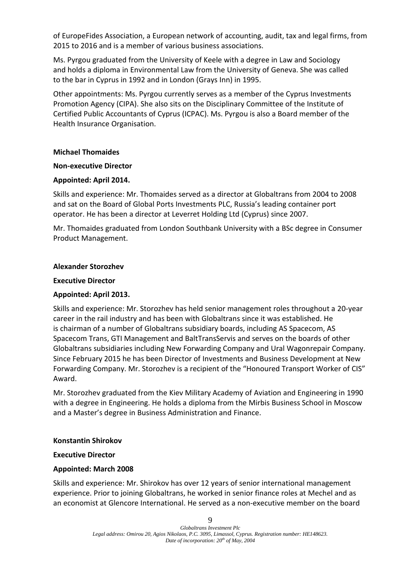of EuropeFides Association, a European network of accounting, audit, tax and legal firms, from 2015 to 2016 and is a member of various business associations.

Ms. Pyrgou graduated from the University of Keele with a degree in Law and Sociology and holds a diploma in Environmental Law from the University of Geneva. She was called to the bar in Cyprus in 1992 and in London (Grays Inn) in 1995.

Other appointments: Ms. Pyrgou currently serves as a member of the Cyprus Investments Promotion Agency (CIPA). She also sits on the Disciplinary Committee of the Institute of Certified Public Accountants of Cyprus (ICPAC). Ms. Pyrgou is also a Board member of the Health Insurance Organisation.

# **Michael Thomaides**

## **Non-executive Director**

# **Appointed: April 2014.**

Skills and experience: Mr. Thomaides served as a director at Globaltrans from 2004 to 2008 and sat on the Board of Global Ports Investments PLC, Russia's leading container port operator. He has been a director at Leverret Holding Ltd (Cyprus) since 2007.

Mr. Thomaides graduated from London Southbank University with a BSc degree in Consumer Product Management.

## **Alexander Storozhev**

## **Executive Director**

# **Appointed: April 2013.**

Skills and experience: Mr. Storozhev has held senior management roles throughout a 20-year career in the rail industry and has been with Globaltrans since it was established. He is chairman of a number of Globaltrans subsidiary boards, including AS Spacecom, AS Spacecom Trans, GTI Management and BaltTransServis and serves on the boards of other Globaltrans subsidiaries including New Forwarding Company and Ural Wagonrepair Company. Since February 2015 he has been Director of Investments and Business Development at New Forwarding Company. Mr. Storozhev is a recipient of the "Honoured Transport Worker of CIS" Award.

Mr. Storozhev graduated from the Kiev Military Academy of Aviation and Engineering in 1990 with a degree in Engineering. He holds a diploma from the Mirbis Business School in Moscow and a Master's degree in Business Administration and Finance.

# **Konstantin Shirokov**

# **Executive Director**

# **Appointed: March 2008**

Skills and experience: Mr. Shirokov has over 12 years of senior international management experience. Prior to joining Globaltrans, he worked in senior finance roles at Mechel and as an economist at Glencore International. He served as a non-executive member on the board